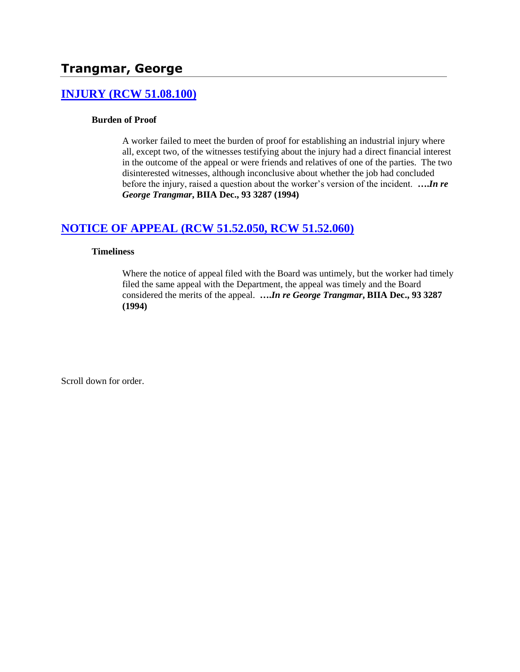# **Trangmar, George**

#### **[INJURY \(RCW 51.08.100\)](http://www.biia.wa.gov/SDSubjectIndex.html#INJURY)**

#### **Burden of Proof**

A worker failed to meet the burden of proof for establishing an industrial injury where all, except two, of the witnesses testifying about the injury had a direct financial interest in the outcome of the appeal or were friends and relatives of one of the parties. The two disinterested witnesses, although inconclusive about whether the job had concluded before the injury, raised a question about the worker's version of the incident. **….***In re George Trangmar***, BIIA Dec., 93 3287 (1994)** 

## **[NOTICE OF APPEAL \(RCW 51.52.050, RCW 51.52.060\)](http://www.biia.wa.gov/SDSubjectIndex.html#NOTICE_OF_APPEAL)**

#### **Timeliness**

Where the notice of appeal filed with the Board was untimely, but the worker had timely filed the same appeal with the Department, the appeal was timely and the Board considered the merits of the appeal. **….***In re George Trangmar***, BIIA Dec., 93 3287 (1994)**

Scroll down for order.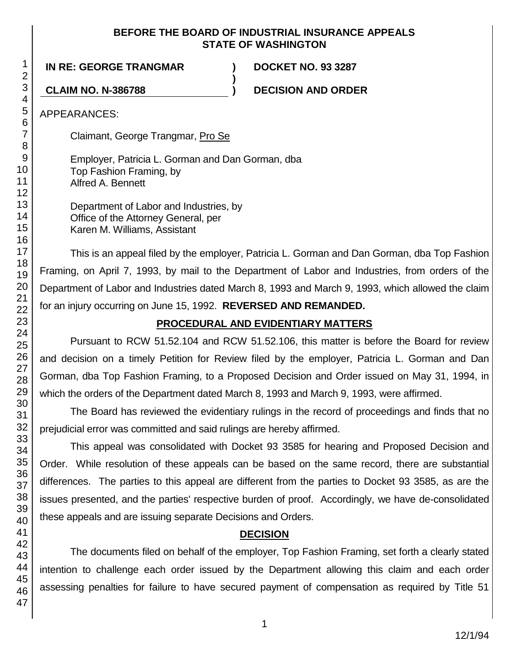#### **BEFORE THE BOARD OF INDUSTRIAL INSURANCE APPEALS STATE OF WASHINGTON**

**)**

## **IN RE: GEORGE TRANGMAR ) DOCKET NO. 93 3287**

**CLAIM NO. N-386788 ) DECISION AND ORDER**

APPEARANCES:

Claimant, George Trangmar, Pro Se

Employer, Patricia L. Gorman and Dan Gorman, dba Top Fashion Framing, by Alfred A. Bennett

Department of Labor and Industries, by Office of the Attorney General, per Karen M. Williams, Assistant

This is an appeal filed by the employer, Patricia L. Gorman and Dan Gorman, dba Top Fashion Framing, on April 7, 1993, by mail to the Department of Labor and Industries, from orders of the Department of Labor and Industries dated March 8, 1993 and March 9, 1993, which allowed the claim for an injury occurring on June 15, 1992. **REVERSED AND REMANDED.**

# **PROCEDURAL AND EVIDENTIARY MATTERS**

Pursuant to RCW 51.52.104 and RCW 51.52.106, this matter is before the Board for review and decision on a timely Petition for Review filed by the employer, Patricia L. Gorman and Dan Gorman, dba Top Fashion Framing, to a Proposed Decision and Order issued on May 31, 1994, in which the orders of the Department dated March 8, 1993 and March 9, 1993, were affirmed.

The Board has reviewed the evidentiary rulings in the record of proceedings and finds that no prejudicial error was committed and said rulings are hereby affirmed.

This appeal was consolidated with Docket 93 3585 for hearing and Proposed Decision and Order. While resolution of these appeals can be based on the same record, there are substantial differences. The parties to this appeal are different from the parties to Docket 93 3585, as are the issues presented, and the parties' respective burden of proof. Accordingly, we have de-consolidated these appeals and are issuing separate Decisions and Orders.

# **DECISION**

The documents filed on behalf of the employer, Top Fashion Framing, set forth a clearly stated intention to challenge each order issued by the Department allowing this claim and each order assessing penalties for failure to have secured payment of compensation as required by Title 51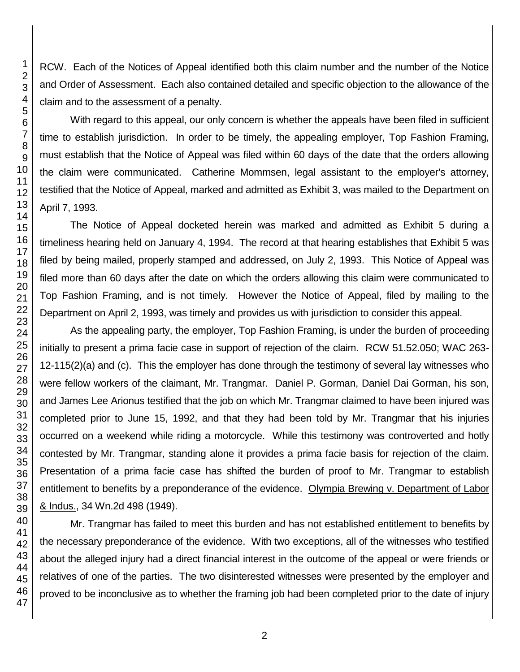RCW. Each of the Notices of Appeal identified both this claim number and the number of the Notice and Order of Assessment. Each also contained detailed and specific objection to the allowance of the claim and to the assessment of a penalty.

With regard to this appeal, our only concern is whether the appeals have been filed in sufficient time to establish jurisdiction. In order to be timely, the appealing employer, Top Fashion Framing, must establish that the Notice of Appeal was filed within 60 days of the date that the orders allowing the claim were communicated. Catherine Mommsen, legal assistant to the employer's attorney, testified that the Notice of Appeal, marked and admitted as Exhibit 3, was mailed to the Department on April 7, 1993.

The Notice of Appeal docketed herein was marked and admitted as Exhibit 5 during a timeliness hearing held on January 4, 1994. The record at that hearing establishes that Exhibit 5 was filed by being mailed, properly stamped and addressed, on July 2, 1993. This Notice of Appeal was filed more than 60 days after the date on which the orders allowing this claim were communicated to Top Fashion Framing, and is not timely. However the Notice of Appeal, filed by mailing to the Department on April 2, 1993, was timely and provides us with jurisdiction to consider this appeal.

As the appealing party, the employer, Top Fashion Framing, is under the burden of proceeding initially to present a prima facie case in support of rejection of the claim. RCW 51.52.050; WAC 263- 12-115(2)(a) and (c). This the employer has done through the testimony of several lay witnesses who were fellow workers of the claimant, Mr. Trangmar. Daniel P. Gorman, Daniel Dai Gorman, his son, and James Lee Arionus testified that the job on which Mr. Trangmar claimed to have been injured was completed prior to June 15, 1992, and that they had been told by Mr. Trangmar that his injuries occurred on a weekend while riding a motorcycle. While this testimony was controverted and hotly contested by Mr. Trangmar, standing alone it provides a prima facie basis for rejection of the claim. Presentation of a prima facie case has shifted the burden of proof to Mr. Trangmar to establish entitlement to benefits by a preponderance of the evidence. Olympia Brewing v. Department of Labor & Indus., 34 Wn.2d 498 (1949).

Mr. Trangmar has failed to meet this burden and has not established entitlement to benefits by the necessary preponderance of the evidence. With two exceptions, all of the witnesses who testified about the alleged injury had a direct financial interest in the outcome of the appeal or were friends or relatives of one of the parties. The two disinterested witnesses were presented by the employer and proved to be inconclusive as to whether the framing job had been completed prior to the date of injury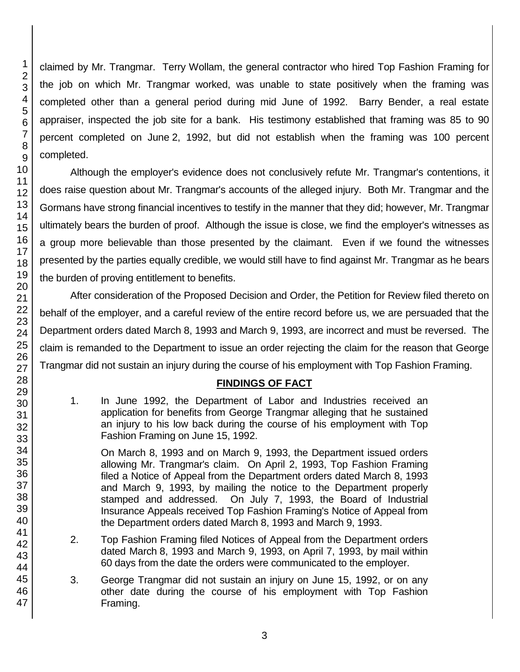claimed by Mr. Trangmar. Terry Wollam, the general contractor who hired Top Fashion Framing for the job on which Mr. Trangmar worked, was unable to state positively when the framing was completed other than a general period during mid June of 1992. Barry Bender, a real estate appraiser, inspected the job site for a bank. His testimony established that framing was 85 to 90 percent completed on June 2, 1992, but did not establish when the framing was 100 percent completed.

Although the employer's evidence does not conclusively refute Mr. Trangmar's contentions, it does raise question about Mr. Trangmar's accounts of the alleged injury. Both Mr. Trangmar and the Gormans have strong financial incentives to testify in the manner that they did; however, Mr. Trangmar ultimately bears the burden of proof. Although the issue is close, we find the employer's witnesses as a group more believable than those presented by the claimant. Even if we found the witnesses presented by the parties equally credible, we would still have to find against Mr. Trangmar as he bears the burden of proving entitlement to benefits.

After consideration of the Proposed Decision and Order, the Petition for Review filed thereto on behalf of the employer, and a careful review of the entire record before us, we are persuaded that the Department orders dated March 8, 1993 and March 9, 1993, are incorrect and must be reversed. The claim is remanded to the Department to issue an order rejecting the claim for the reason that George Trangmar did not sustain an injury during the course of his employment with Top Fashion Framing.

# **FINDINGS OF FACT**

1. In June 1992, the Department of Labor and Industries received an application for benefits from George Trangmar alleging that he sustained an injury to his low back during the course of his employment with Top Fashion Framing on June 15, 1992.

On March 8, 1993 and on March 9, 1993, the Department issued orders allowing Mr. Trangmar's claim. On April 2, 1993, Top Fashion Framing filed a Notice of Appeal from the Department orders dated March 8, 1993 and March 9, 1993, by mailing the notice to the Department properly stamped and addressed. On July 7, 1993, the Board of Industrial Insurance Appeals received Top Fashion Framing's Notice of Appeal from the Department orders dated March 8, 1993 and March 9, 1993.

- 2. Top Fashion Framing filed Notices of Appeal from the Department orders dated March 8, 1993 and March 9, 1993, on April 7, 1993, by mail within 60 days from the date the orders were communicated to the employer.
- 3. George Trangmar did not sustain an injury on June 15, 1992, or on any other date during the course of his employment with Top Fashion Framing.